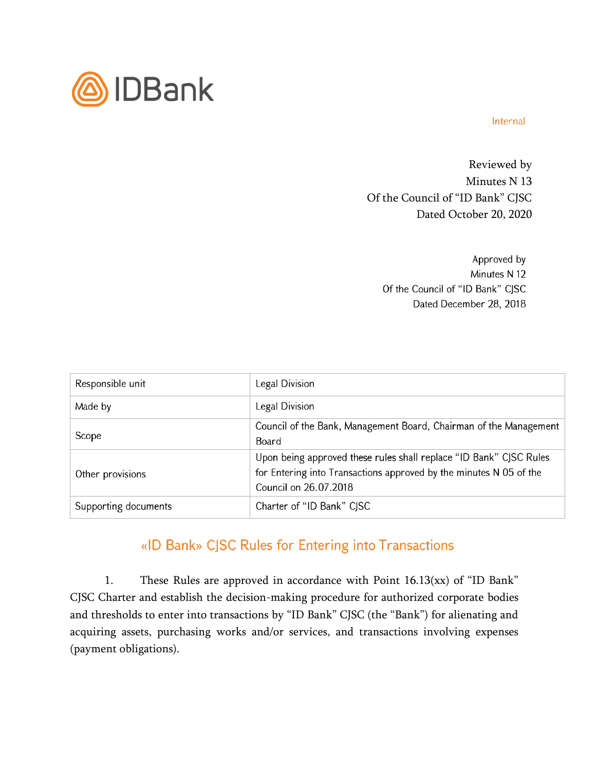

## Internal

Reviewed by Minutes N 13 Of the Council of "ID Bank" CJSC Dated October 20, 2020

> Approved by Minutes N 12 Of the Council of "ID Bank" CJSC Dated December 28, 2018

| Responsible unit     | Legal Division                                                                                                                                                    |
|----------------------|-------------------------------------------------------------------------------------------------------------------------------------------------------------------|
| Made by              | Legal Division                                                                                                                                                    |
| Scope                | Council of the Bank, Management Board, Chairman of the Management<br>Board                                                                                        |
| Other provisions     | Upon being approved these rules shall replace "ID Bank" CJSC Rules<br>for Entering into Transactions approved by the minutes N 05 of the<br>Council on 26.07.2018 |
| Supporting documents | Charter of "ID Bank" CJSC                                                                                                                                         |

## «ID Bank» CJSC Rules for Entering into Transactions

1. These Rules are approved in accordance with Point 16.13(xx) of "ID Bank" CJSC Charter and establish the decision-making procedure for authorized corporate bodies and thresholds to enter into transactions by "ID Bank" CJSC (the "Bank") for alienating and acquiring assets, purchasing works and/or services, and transactions involving expenses (payment obligations).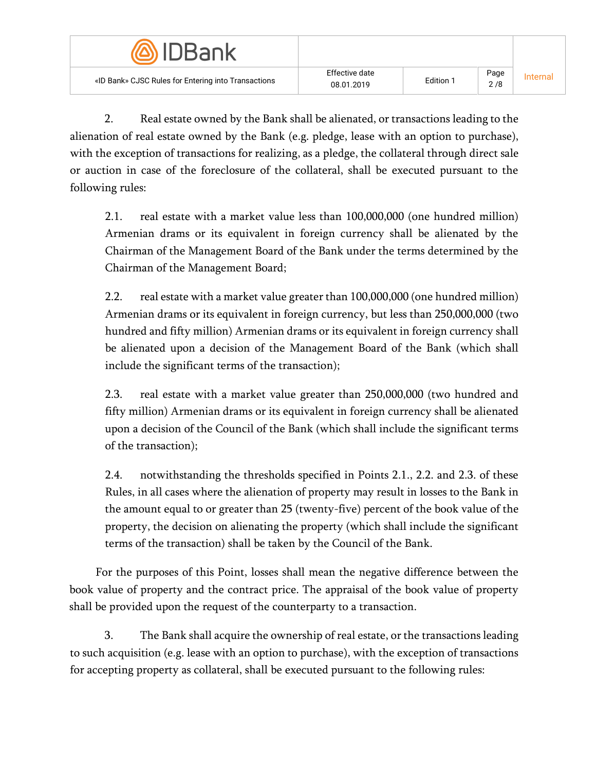| <b>DBank</b>                                        |                              |           |             |         |
|-----------------------------------------------------|------------------------------|-----------|-------------|---------|
| «ID Bank» CJSC Rules for Entering into Transactions | Effective date<br>08.01.2019 | Edition 1 | Page<br>2/8 | nternal |

2. Real estate owned by the Bank shall be alienated, or transactions leading to the alienation of real estate owned by the Bank (e.g. pledge, lease with an option to purchase), with the exception of transactions for realizing, as a pledge, the collateral through direct sale or auction in case of the foreclosure of the collateral, shall be executed pursuant to the following rules:

2.1. real estate with a market value less than 100,000,000 (one hundred million) Armenian drams or its equivalent in foreign currency shall be alienated by the Chairman of the Management Board of the Bank under the terms determined by the Chairman of the Management Board;

2.2. real estate with a market value greater than 100,000,000 (one hundred million) Armenian drams or its equivalent in foreign currency, but less than 250,000,000 (two hundred and fifty million) Armenian drams or its equivalent in foreign currency shall be alienated upon a decision of the Management Board of the Bank (which shall include the significant terms of the transaction);

2.3. real estate with a market value greater than 250,000,000 (two hundred and fifty million) Armenian drams or its equivalent in foreign currency shall be alienated upon a decision of the Council of the Bank (which shall include the significant terms of the transaction);

2.4. notwithstanding the thresholds specified in Points 2.1., 2.2. and 2.3. of these Rules, in all cases where the alienation of property may result in losses to the Bank in the amount equal to or greater than 25 (twenty-five) percent of the book value of the property, the decision on alienating the property (which shall include the significant terms of the transaction) shall be taken by the Council of the Bank.

For the purposes of this Point, losses shall mean the negative difference between the book value of property and the contract price. The appraisal of the book value of property shall be provided upon the request of the counterparty to a transaction.

3. The Bank shall acquire the ownership of real estate, or the transactions leading to such acquisition (e.g. lease with an option to purchase), with the exception of transactions for accepting property as collateral, shall be executed pursuant to the following rules: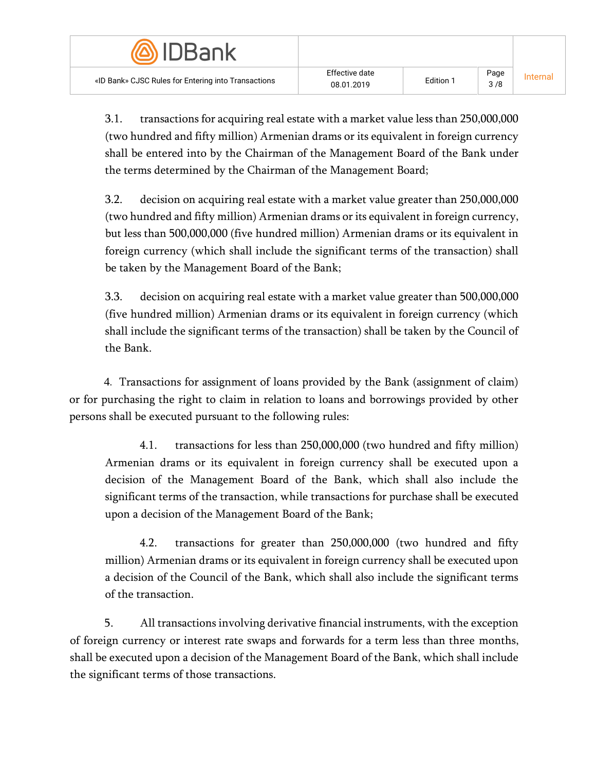| <b><i>AIDBank</i></b>                               |                              |                  |             |          |
|-----------------------------------------------------|------------------------------|------------------|-------------|----------|
| «ID Bank» CJSC Rules for Entering into Transactions | Effective date<br>08.01.2019 | <b>Edition 1</b> | Page<br>3/8 | Internal |

3.1. transactions for acquiring real estate with a market value less than 250,000,000 (two hundred and fifty million) Armenian drams or its equivalent in foreign currency shall be entered into by the Chairman of the Management Board of the Bank under the terms determined by the Chairman of the Management Board;

3.2. decision on acquiring real estate with a market value greater than 250,000,000 (two hundred and fifty million) Armenian drams or its equivalent in foreign currency, but less than 500,000,000 (five hundred million) Armenian drams or its equivalent in foreign currency (which shall include the significant terms of the transaction) shall be taken by the Management Board of the Bank;

3.3. decision on acquiring real estate with a market value greater than 500,000,000 (five hundred million) Armenian drams or its equivalent in foreign currency (which shall include the significant terms of the transaction) shall be taken by the Council of the Bank.

4․ Transactions for assignment of loans provided by the Bank (assignment of claim) or for purchasing the right to claim in relation to loans and borrowings provided by other persons shall be executed pursuant to the following rules:

4.1. transactions for less than 250,000,000 (two hundred and fifty million) Armenian drams or its equivalent in foreign currency shall be executed upon a decision of the Management Board of the Bank, which shall also include the significant terms of the transaction, while transactions for purchase shall be executed upon a decision of the Management Board of the Bank;

4.2. transactions for greater than 250,000,000 (two hundred and fifty million) Armenian drams or its equivalent in foreign currency shall be executed upon a decision of the Council of the Bank, which shall also include the significant terms of the transaction.

5. All transactions involving derivative financial instruments, with the exception of foreign currency or interest rate swaps and forwards for a term less than three months, shall be executed upon a decision of the Management Board of the Bank, which shall include the significant terms of those transactions.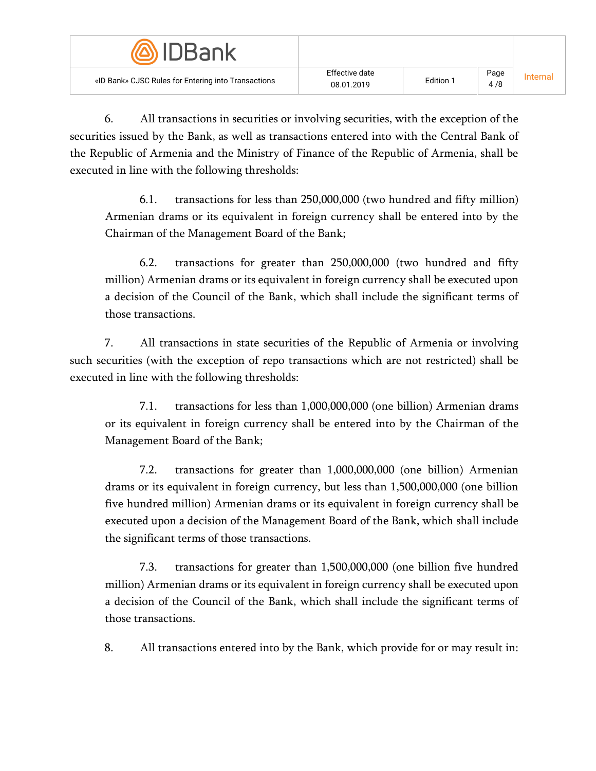| <b>DBank</b>                                        |                              |           |             |         |
|-----------------------------------------------------|------------------------------|-----------|-------------|---------|
| «ID Bank» CJSC Rules for Entering into Transactions | Effective date<br>08.01.2019 | Edition 1 | Page<br>4/8 | Interna |

6. All transactions in securities or involving securities, with the exception of the securities issued by the Bank, as well as transactions entered into with the Central Bank of the Republic of Armenia and the Ministry of Finance of the Republic of Armenia, shall be executed in line with the following thresholds:

6.1. transactions for less than 250,000,000 (two hundred and fifty million) Armenian drams or its equivalent in foreign currency shall be entered into by the Chairman of the Management Board of the Bank;

6.2. transactions for greater than 250,000,000 (two hundred and fifty million) Armenian drams or its equivalent in foreign currency shall be executed upon a decision of the Council of the Bank, which shall include the significant terms of those transactions.

7. All transactions in state securities of the Republic of Armenia or involving such securities (with the exception of repo transactions which are not restricted) shall be executed in line with the following thresholds:

7.1. transactions for less than 1,000,000,000 (one billion) Armenian drams or its equivalent in foreign currency shall be entered into by the Chairman of the Management Board of the Bank;

7.2. transactions for greater than 1,000,000,000 (one billion) Armenian drams or its equivalent in foreign currency, but less than 1,500,000,000 (one billion five hundred million) Armenian drams or its equivalent in foreign currency shall be executed upon a decision of the Management Board of the Bank, which shall include the significant terms of those transactions.

7.3. transactions for greater than 1,500,000,000 (one billion five hundred million) Armenian drams or its equivalent in foreign currency shall be executed upon a decision of the Council of the Bank, which shall include the significant terms of those transactions.

8. All transactions entered into by the Bank, which provide for or may result in: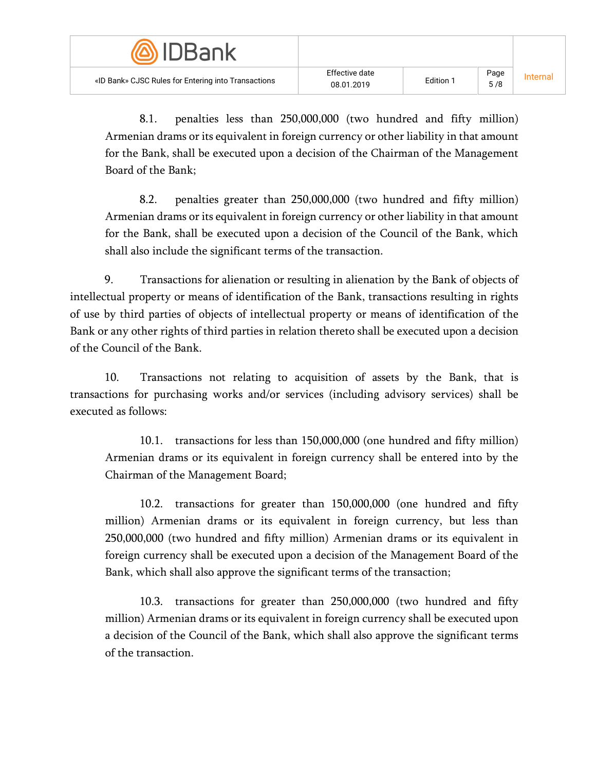| <u>wuuBanka w</u>                                   |                              |           |             |          |
|-----------------------------------------------------|------------------------------|-----------|-------------|----------|
| «ID Bank» CJSC Rules for Entering into Transactions | Effective date<br>08.01.2019 | Edition 1 | Page<br>5/8 | Internal |

8.1. penalties less than 250,000,000 (two hundred and fifty million) Armenian drams or its equivalent in foreign currency or other liability in that amount for the Bank, shall be executed upon a decision of the Chairman of the Management Board of the Bank;

8.2. penalties greater than 250,000,000 (two hundred and fifty million) Armenian drams or its equivalent in foreign currency or other liability in that amount for the Bank, shall be executed upon a decision of the Council of the Bank, which shall also include the significant terms of the transaction.

9. Transactions for alienation or resulting in alienation by the Bank of objects of intellectual property or means of identification of the Bank, transactions resulting in rights of use by third parties of objects of intellectual property or means of identification of the Bank or any other rights of third parties in relation thereto shall be executed upon a decision of the Council of the Bank.

10. Transactions not relating to acquisition of assets by the Bank, that is transactions for purchasing works and/or services (including advisory services) shall be executed as follows:

10.1. transactions for less than 150,000,000 (one hundred and fifty million) Armenian drams or its equivalent in foreign currency shall be entered into by the Chairman of the Management Board;

10.2. transactions for greater than 150,000,000 (one hundred and fifty million) Armenian drams or its equivalent in foreign currency, but less than 250,000,000 (two hundred and fifty million) Armenian drams or its equivalent in foreign currency shall be executed upon a decision of the Management Board of the Bank, which shall also approve the significant terms of the transaction;

10.3. transactions for greater than 250,000,000 (two hundred and fifty million) Armenian drams or its equivalent in foreign currency shall be executed upon a decision of the Council of the Bank, which shall also approve the significant terms of the transaction.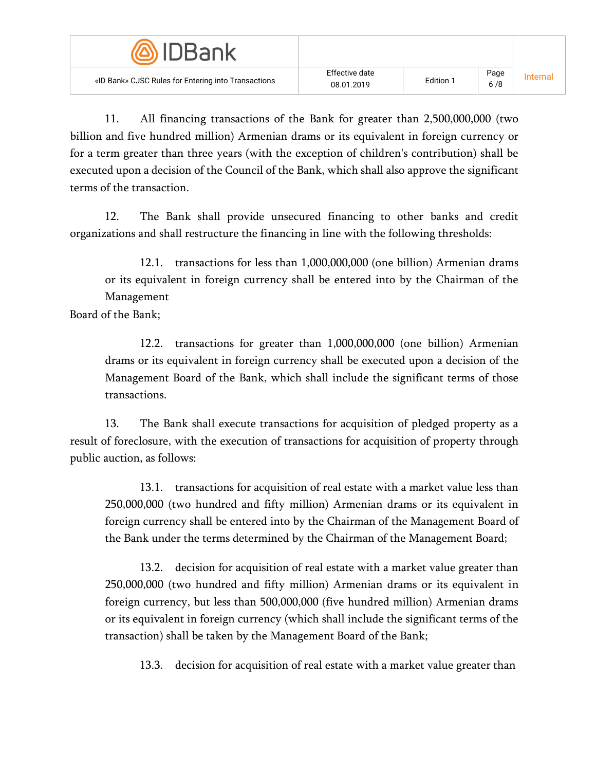| <b><i>SIDBank</i></b>                               |                              |           |             |         |
|-----------------------------------------------------|------------------------------|-----------|-------------|---------|
| «ID Bank» CJSC Rules for Entering into Transactions | Effective date<br>08.01.2019 | Edition 1 | Page<br>6/8 | nternal |

11. All financing transactions of the Bank for greater than 2,500,000,000 (two billion and five hundred million) Armenian drams or its equivalent in foreign currency or for a term greater than three years (with the exception of children's contribution) shall be executed upon a decision of the Council of the Bank, which shall also approve the significant terms of the transaction.

12. The Bank shall provide unsecured financing to other banks and credit organizations and shall restructure the financing in line with the following thresholds:

12.1. transactions for less than 1,000,000,000 (one billion) Armenian drams or its equivalent in foreign currency shall be entered into by the Chairman of the Management

Board of the Bank;

12.2. transactions for greater than 1,000,000,000 (one billion) Armenian drams or its equivalent in foreign currency shall be executed upon a decision of the Management Board of the Bank, which shall include the significant terms of those transactions.

13. The Bank shall execute transactions for acquisition of pledged property as a result of foreclosure, with the execution of transactions for acquisition of property through public auction, as follows:

13.1. transactions for acquisition of real estate with a market value less than 250,000,000 (two hundred and fifty million) Armenian drams or its equivalent in foreign currency shall be entered into by the Chairman of the Management Board of the Bank under the terms determined by the Chairman of the Management Board;

13.2. decision for acquisition of real estate with a market value greater than 250,000,000 (two hundred and fifty million) Armenian drams or its equivalent in foreign currency, but less than 500,000,000 (five hundred million) Armenian drams or its equivalent in foreign currency (which shall include the significant terms of the transaction) shall be taken by the Management Board of the Bank;

13.3. decision for acquisition of real estate with a market value greater than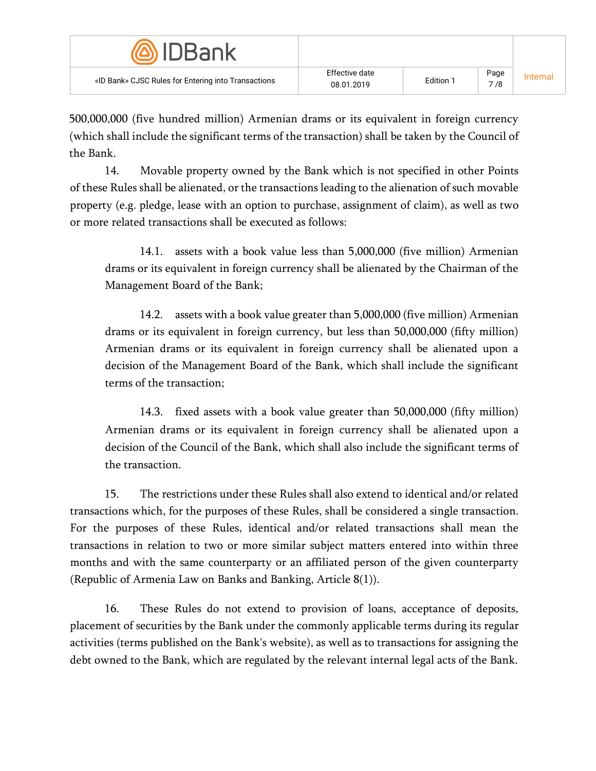| <b>MDBank</b>                                       |                              |           |             |          |
|-----------------------------------------------------|------------------------------|-----------|-------------|----------|
| «ID Bank» CJSC Rules for Entering into Transactions | Effective date<br>08.01.2019 | Edition 1 | Page<br>7/8 | Internal |

500,000,000 (five hundred million) Armenian drams or its equivalent in foreign currency (which shall include the significant terms of the transaction) shall be taken by the Council of the Bank.

14. Movable property owned by the Bank which is not specified in other Points of these Rules shall be alienated, or the transactions leading to the alienation of such movable property (e.g. pledge, lease with an option to purchase, assignment of claim), as well as two or more related transactions shall be executed as follows:

14.1. assets with a book value less than 5,000,000 (five million) Armenian drams or its equivalent in foreign currency shall be alienated by the Chairman of the Management Board of the Bank;

14.2. assets with a book value greater than 5,000,000 (five million) Armenian drams or its equivalent in foreign currency, but less than 50,000,000 (fifty million) Armenian drams or its equivalent in foreign currency shall be alienated upon a decision of the Management Board of the Bank, which shall include the significant terms of the transaction;

14.3. fixed assets with a book value greater than 50,000,000 (fifty million) Armenian drams or its equivalent in foreign currency shall be alienated upon a decision of the Council of the Bank, which shall also include the significant terms of the transaction.

15. The restrictions under these Rules shall also extend to identical and/or related transactions which, for the purposes of these Rules, shall be considered a single transaction. For the purposes of these Rules, identical and/or related transactions shall mean the transactions in relation to two or more similar subject matters entered into within three months and with the same counterparty or an affiliated person of the given counterparty (Republic of Armenia Law on Banks and Banking, Article 8(1)).

16. These Rules do not extend to provision of loans, acceptance of deposits, placement of securities by the Bank under the commonly applicable terms during its regular activities (terms published on the Bank's website), as well as to transactions for assigning the debt owned to the Bank, which are regulated by the relevant internal legal acts of the Bank.